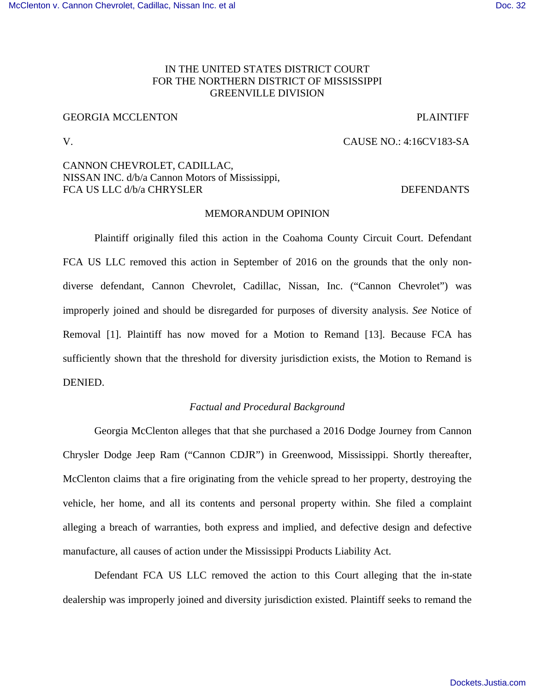# IN THE UNITED STATES DISTRICT COURT FOR THE NORTHERN DISTRICT OF MISSISSIPPI GREENVILLE DIVISION

# GEORGIA MCCLENTON **PLAINTIFF**

# V. CAUSE NO.: 4:16CV183-SA

## CANNON CHEVROLET, CADILLAC, NISSAN INC. d/b/a Cannon Motors of Mississippi, FCA US LLC d/b/a CHRYSLER DEFENDANTS

### MEMORANDUM OPINION

 Plaintiff originally filed this action in the Coahoma County Circuit Court. Defendant FCA US LLC removed this action in September of 2016 on the grounds that the only nondiverse defendant, Cannon Chevrolet, Cadillac, Nissan, Inc. ("Cannon Chevrolet") was improperly joined and should be disregarded for purposes of diversity analysis. *See* Notice of Removal [1]. Plaintiff has now moved for a Motion to Remand [13]. Because FCA has sufficiently shown that the threshold for diversity jurisdiction exists, the Motion to Remand is DENIED.

## *Factual and Procedural Background*

 Georgia McClenton alleges that that she purchased a 2016 Dodge Journey from Cannon Chrysler Dodge Jeep Ram ("Cannon CDJR") in Greenwood, Mississippi. Shortly thereafter, McClenton claims that a fire originating from the vehicle spread to her property, destroying the vehicle, her home, and all its contents and personal property within. She filed a complaint alleging a breach of warranties, both express and implied, and defective design and defective manufacture, all causes of action under the Mississippi Products Liability Act.

 Defendant FCA US LLC removed the action to this Court alleging that the in-state dealership was improperly joined and diversity jurisdiction existed. Plaintiff seeks to remand the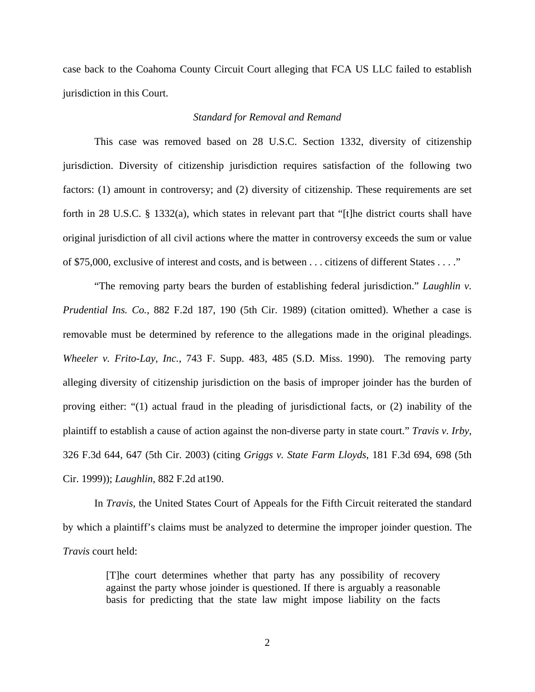case back to the Coahoma County Circuit Court alleging that FCA US LLC failed to establish jurisdiction in this Court.

### *Standard for Removal and Remand*

This case was removed based on 28 U.S.C. Section 1332, diversity of citizenship jurisdiction. Diversity of citizenship jurisdiction requires satisfaction of the following two factors: (1) amount in controversy; and (2) diversity of citizenship. These requirements are set forth in 28 U.S.C. § 1332(a), which states in relevant part that "[t]he district courts shall have original jurisdiction of all civil actions where the matter in controversy exceeds the sum or value of \$75,000, exclusive of interest and costs, and is between . . . citizens of different States . . . ."

 "The removing party bears the burden of establishing federal jurisdiction." *Laughlin v. Prudential Ins. Co.*, 882 F.2d 187, 190 (5th Cir. 1989) (citation omitted). Whether a case is removable must be determined by reference to the allegations made in the original pleadings. *Wheeler v. Frito-Lay, Inc.*, 743 F. Supp. 483, 485 (S.D. Miss. 1990). The removing party alleging diversity of citizenship jurisdiction on the basis of improper joinder has the burden of proving either: "(1) actual fraud in the pleading of jurisdictional facts, or (2) inability of the plaintiff to establish a cause of action against the non-diverse party in state court." *Travis v. Irby*, 326 F.3d 644, 647 (5th Cir. 2003) (citing *Griggs v. State Farm Lloyds*, 181 F.3d 694, 698 (5th Cir. 1999)); *Laughlin*, 882 F.2d at190.

In *Travis*, the United States Court of Appeals for the Fifth Circuit reiterated the standard by which a plaintiff's claims must be analyzed to determine the improper joinder question. The *Travis* court held:

> [T]he court determines whether that party has any possibility of recovery against the party whose joinder is questioned. If there is arguably a reasonable basis for predicting that the state law might impose liability on the facts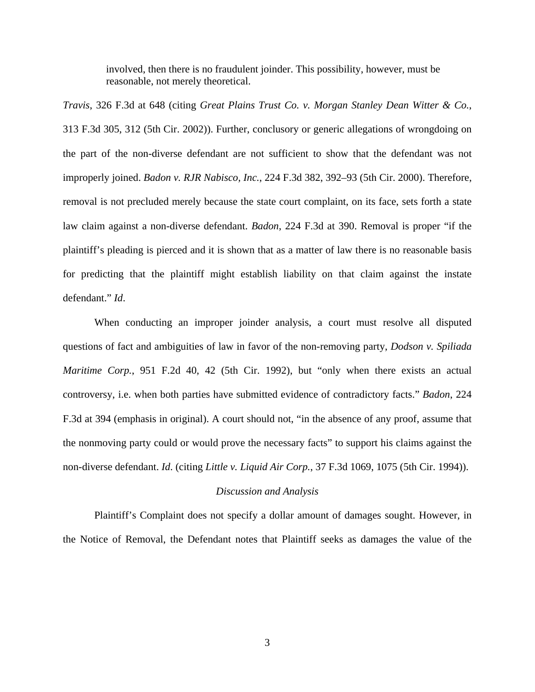involved, then there is no fraudulent joinder. This possibility, however, must be reasonable, not merely theoretical.

*Travis*, 326 F.3d at 648 (citing *Great Plains Trust Co. v. Morgan Stanley Dean Witter & Co.*, 313 F.3d 305, 312 (5th Cir. 2002)). Further, conclusory or generic allegations of wrongdoing on the part of the non-diverse defendant are not sufficient to show that the defendant was not improperly joined. *Badon v. RJR Nabisco, Inc.*, 224 F.3d 382, 392–93 (5th Cir. 2000). Therefore, removal is not precluded merely because the state court complaint, on its face, sets forth a state law claim against a non-diverse defendant. *Badon*, 224 F.3d at 390. Removal is proper "if the plaintiff's pleading is pierced and it is shown that as a matter of law there is no reasonable basis for predicting that the plaintiff might establish liability on that claim against the instate defendant." *Id*.

When conducting an improper joinder analysis, a court must resolve all disputed questions of fact and ambiguities of law in favor of the non-removing party, *Dodson v. Spiliada Maritime Corp.*, 951 F.2d 40, 42 (5th Cir. 1992), but "only when there exists an actual controversy, i.e. when both parties have submitted evidence of contradictory facts." *Badon*, 224 F.3d at 394 (emphasis in original). A court should not, "in the absence of any proof, assume that the nonmoving party could or would prove the necessary facts" to support his claims against the non-diverse defendant. *Id*. (citing *Little v. Liquid Air Corp.*, 37 F.3d 1069, 1075 (5th Cir. 1994)).

#### *Discussion and Analysis*

Plaintiff's Complaint does not specify a dollar amount of damages sought. However, in the Notice of Removal, the Defendant notes that Plaintiff seeks as damages the value of the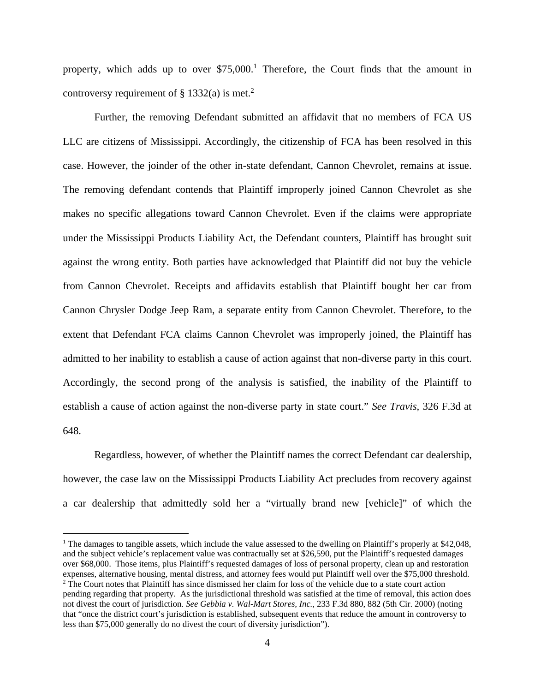property, which adds up to over  $$75,000$ .<sup>1</sup> Therefore, the Court finds that the amount in controversy requirement of  $\S$  1332(a) is met.<sup>2</sup>

Further, the removing Defendant submitted an affidavit that no members of FCA US LLC are citizens of Mississippi. Accordingly, the citizenship of FCA has been resolved in this case. However, the joinder of the other in-state defendant, Cannon Chevrolet, remains at issue. The removing defendant contends that Plaintiff improperly joined Cannon Chevrolet as she makes no specific allegations toward Cannon Chevrolet. Even if the claims were appropriate under the Mississippi Products Liability Act, the Defendant counters, Plaintiff has brought suit against the wrong entity. Both parties have acknowledged that Plaintiff did not buy the vehicle from Cannon Chevrolet. Receipts and affidavits establish that Plaintiff bought her car from Cannon Chrysler Dodge Jeep Ram, a separate entity from Cannon Chevrolet. Therefore, to the extent that Defendant FCA claims Cannon Chevrolet was improperly joined, the Plaintiff has admitted to her inability to establish a cause of action against that non-diverse party in this court. Accordingly, the second prong of the analysis is satisfied, the inability of the Plaintiff to establish a cause of action against the non-diverse party in state court." *See Travis*, 326 F.3d at 648.

 Regardless, however, of whether the Plaintiff names the correct Defendant car dealership, however, the case law on the Mississippi Products Liability Act precludes from recovery against a car dealership that admittedly sold her a "virtually brand new [vehicle]" of which the

<u>.</u>

<sup>&</sup>lt;sup>1</sup> The damages to tangible assets, which include the value assessed to the dwelling on Plaintiff's properly at \$42,048, and the subject vehicle's replacement value was contractually set at \$26,590, put the Plaintiff's requested damages over \$68,000. Those items, plus Plaintiff's requested damages of loss of personal property, clean up and restoration expenses, alternative housing, mental distress, and attorney fees would put Plaintiff well over the \$75,000 threshold. <sup>2</sup> The Court notes that Plaintiff has since dismissed her claim for loss of the vehicle due to a state court action pending regarding that property. As the jurisdictional threshold was satisfied at the time of removal, this action does not divest the court of jurisdiction. *See Gebbia v. Wal-Mart Stores, Inc.*, 233 F.3d 880, 882 (5th Cir. 2000) (noting that "once the district court's jurisdiction is established, subsequent events that reduce the amount in controversy to less than \$75,000 generally do no divest the court of diversity jurisdiction").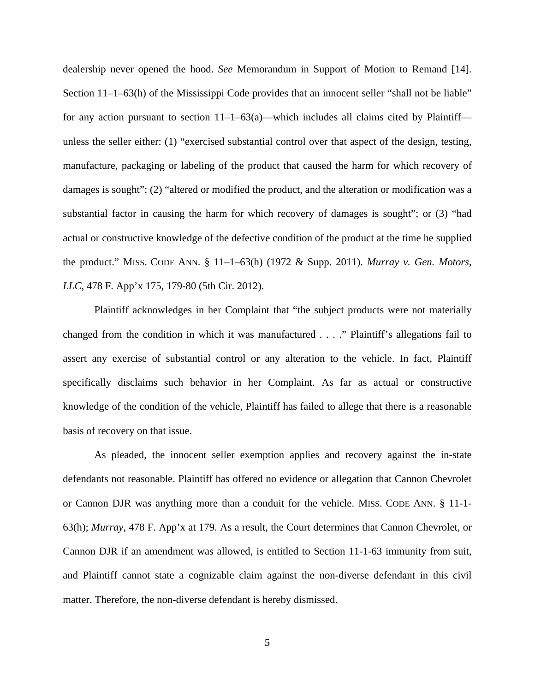dealership never opened the hood. *See* Memorandum in Support of Motion to Remand [14]. Section 11–1–63(h) of the Mississippi Code provides that an innocent seller "shall not be liable" for any action pursuant to section  $11-1-63(a)$ —which includes all claims cited by Plaintiff unless the seller either: (1) "exercised substantial control over that aspect of the design, testing, manufacture, packaging or labeling of the product that caused the harm for which recovery of damages is sought"; (2) "altered or modified the product, and the alteration or modification was a substantial factor in causing the harm for which recovery of damages is sought"; or (3) "had actual or constructive knowledge of the defective condition of the product at the time he supplied the product." MISS. CODE ANN. § 11–1–63(h) (1972 & Supp. 2011). *Murray v. Gen. Motors, LLC*, 478 F. App'x 175, 179-80 (5th Cir. 2012).

Plaintiff acknowledges in her Complaint that "the subject products were not materially changed from the condition in which it was manufactured . . . ." Plaintiff's allegations fail to assert any exercise of substantial control or any alteration to the vehicle. In fact, Plaintiff specifically disclaims such behavior in her Complaint. As far as actual or constructive knowledge of the condition of the vehicle, Plaintiff has failed to allege that there is a reasonable basis of recovery on that issue.

As pleaded, the innocent seller exemption applies and recovery against the in-state defendants not reasonable. Plaintiff has offered no evidence or allegation that Cannon Chevrolet or Cannon DJR was anything more than a conduit for the vehicle. MISS. CODE ANN. § 11-1- 63(h); *Murray*, 478 F. App'x at 179. As a result, the Court determines that Cannon Chevrolet, or Cannon DJR if an amendment was allowed, is entitled to Section 11-1-63 immunity from suit, and Plaintiff cannot state a cognizable claim against the non-diverse defendant in this civil matter. Therefore, the non-diverse defendant is hereby dismissed.